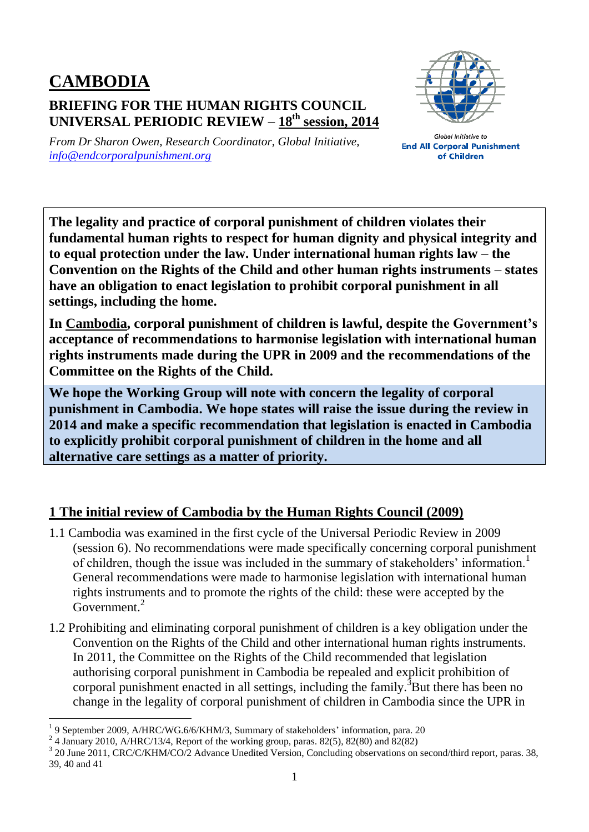## **CAMBODIA BRIEFING FOR THE HUMAN RIGHTS COUNCIL UNIVERSAL PERIODIC REVIEW – 18 th session, 2014**



*From Dr Sharon Owen, Research Coordinator, Global Initiative, [info@endcorporalpunishment.org](mailto:info@endcorporalpunishment.org)*

**Global Initiative to End All Corporal Punishment** of Children

**The legality and practice of corporal punishment of children violates their fundamental human rights to respect for human dignity and physical integrity and to equal protection under the law. Under international human rights law – the Convention on the Rights of the Child and other human rights instruments – states have an obligation to enact legislation to prohibit corporal punishment in all settings, including the home.**

**In Cambodia, corporal punishment of children is lawful, despite the Government's acceptance of recommendations to harmonise legislation with international human rights instruments made during the UPR in 2009 and the recommendations of the Committee on the Rights of the Child.**

**We hope the Working Group will note with concern the legality of corporal punishment in Cambodia. We hope states will raise the issue during the review in 2014 and make a specific recommendation that legislation is enacted in Cambodia to explicitly prohibit corporal punishment of children in the home and all alternative care settings as a matter of priority.**

## **1 The initial review of Cambodia by the Human Rights Council (2009)**

- 1.1 Cambodia was examined in the first cycle of the Universal Periodic Review in 2009 (session 6). No recommendations were made specifically concerning corporal punishment of children, though the issue was included in the summary of stakeholders' information.<sup>1</sup> General recommendations were made to harmonise legislation with international human rights instruments and to promote the rights of the child: these were accepted by the Government.<sup>2</sup>
- 1.2 Prohibiting and eliminating corporal punishment of children is a key obligation under the Convention on the Rights of the Child and other international human rights instruments. In 2011, the Committee on the Rights of the Child recommended that legislation authorising corporal punishment in Cambodia be repealed and explicit prohibition of corporal punishment enacted in all settings, including the family.<sup>3</sup>But there has been no change in the legality of corporal punishment of children in Cambodia since the UPR in

 $\overline{a}$ 

<sup>&</sup>lt;sup>1</sup> 9 September 2009, A/HRC/WG.6/6/KHM/3, Summary of stakeholders' information, para. 20

 $2^2$  4 January 2010, A/HRC/13/4, Report of the working group, paras. 82(5), 82(80) and 82(82)

<sup>&</sup>lt;sup>3</sup> 20 June 2011, CRC/C/KHM/CO/2 Advance Unedited Version, Concluding observations on second/third report, paras. 38, 39, 40 and 41